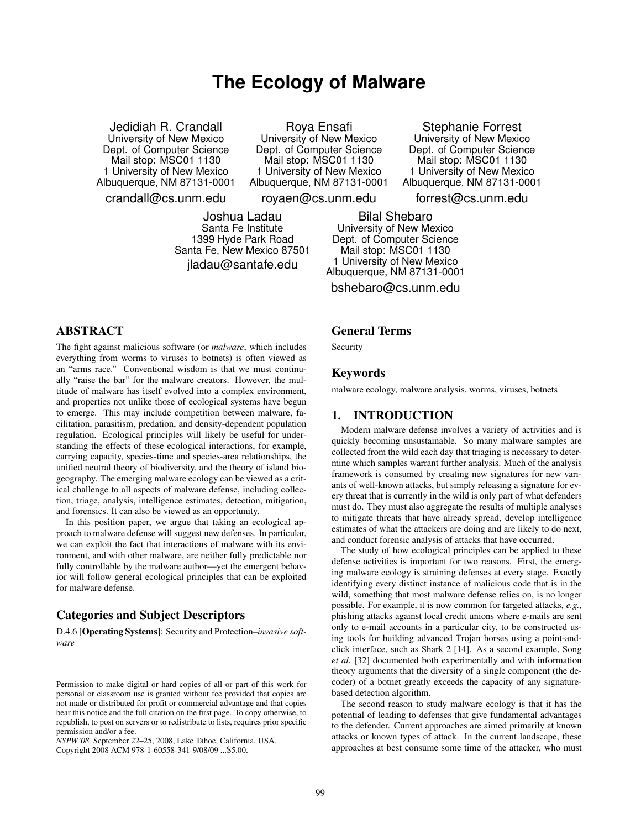# **The Ecology of Malware**

Jedidiah R. Crandall University of New Mexico Dept. of Computer Science Mail stop: MSC01 1130 1 University of New Mexico Albuquerque, NM 87131-0001

crandall@cs.unm.edu

Roya Ensafi University of New Mexico Dept. of Computer Science Mail stop: MSC01 1130 1 University of New Mexico Albuquerque, NM 87131-0001

royaen@cs.unm.edu

Stephanie Forrest University of New Mexico Dept. of Computer Science Mail stop: MSC01 1130 1 University of New Mexico Albuquerque, NM 87131-0001

forrest@cs.unm.edu

Joshua Ladau Santa Fe Institute 1399 Hyde Park Road Santa Fe, New Mexico 87501 jladau@santafe.edu

ABSTRACT

The fight against malicious software (or *malware*, which includes everything from worms to viruses to botnets) is often viewed as an "arms race." Conventional wisdom is that we must continually "raise the bar" for the malware creators. However, the multitude of malware has itself evolved into a complex environment, and properties not unlike those of ecological systems have begun to emerge. This may include competition between malware, facilitation, parasitism, predation, and density-dependent population regulation. Ecological principles will likely be useful for understanding the effects of these ecological interactions, for example, carrying capacity, species-time and species-area relationships, the unified neutral theory of biodiversity, and the theory of island biogeography. The emerging malware ecology can be viewed as a critical challenge to all aspects of malware defense, including collection, triage, analysis, intelligence estimates, detection, mitigation, and forensics. It can also be viewed as an opportunity.

In this position paper, we argue that taking an ecological approach to malware defense will suggest new defenses. In particular, we can exploit the fact that interactions of malware with its environment, and with other malware, are neither fully predictable nor fully controllable by the malware author—yet the emergent behavior will follow general ecological principles that can be exploited for malware defense.

## Categories and Subject Descriptors

D.4.6 [Operating Systems]: Security and Protection–*invasive software*

*NSPW'08,* September 22–25, 2008, Lake Tahoe, California, USA.

Copyright 2008 ACM 978-1-60558-341-9/08/09 ...\$5.00.

Bilal Shebaro University of New Mexico Dept. of Computer Science Mail stop: MSC01 1130 1 University of New Mexico Albuquerque, NM 87131-0001 bshebaro@cs.unm.edu

#### General Terms

Security

#### Keywords

malware ecology, malware analysis, worms, viruses, botnets

#### 1. INTRODUCTION

Modern malware defense involves a variety of activities and is quickly becoming unsustainable. So many malware samples are collected from the wild each day that triaging is necessary to determine which samples warrant further analysis. Much of the analysis framework is consumed by creating new signatures for new variants of well-known attacks, but simply releasing a signature for every threat that is currently in the wild is only part of what defenders must do. They must also aggregate the results of multiple analyses to mitigate threats that have already spread, develop intelligence estimates of what the attackers are doing and are likely to do next, and conduct forensic analysis of attacks that have occurred.

The study of how ecological principles can be applied to these defense activities is important for two reasons. First, the emerging malware ecology is straining defenses at every stage. Exactly identifying every distinct instance of malicious code that is in the wild, something that most malware defense relies on, is no longer possible. For example, it is now common for targeted attacks, *e.g.*, phishing attacks against local credit unions where e-mails are sent only to e-mail accounts in a particular city, to be constructed using tools for building advanced Trojan horses using a point-andclick interface, such as Shark 2 [14]. As a second example, Song *et al.* [32] documented both experimentally and with information theory arguments that the diversity of a single component (the decoder) of a botnet greatly exceeds the capacity of any signaturebased detection algorithm.

The second reason to study malware ecology is that it has the potential of leading to defenses that give fundamental advantages to the defender. Current approaches are aimed primarily at known attacks or known types of attack. In the current landscape, these approaches at best consume some time of the attacker, who must

Permission to make digital or hard copies of all or part of this work for personal or classroom use is granted without fee provided that copies are not made or distributed for profit or commercial advantage and that copies bear this notice and the full citation on the first page. To copy otherwise, to republish, to post on servers or to redistribute to lists, requires prior specific permission and/or a fee.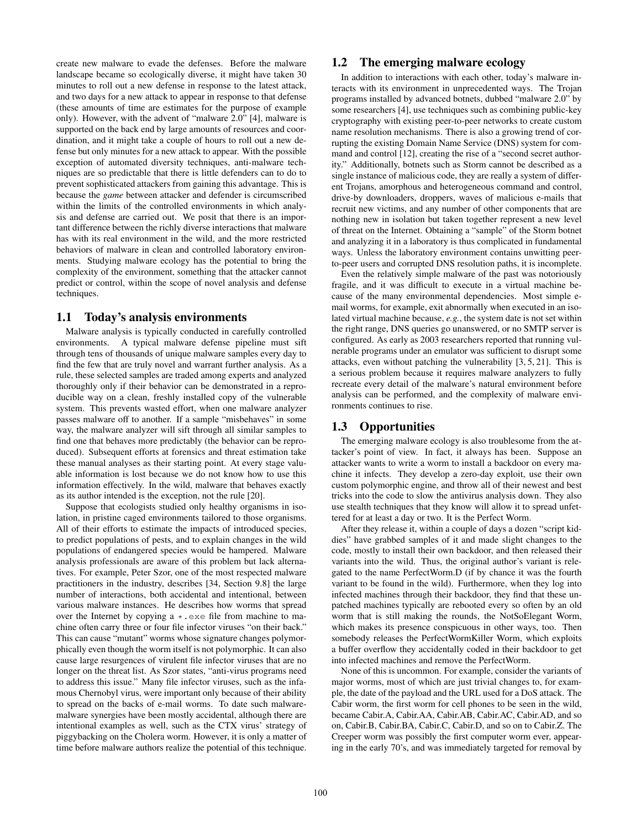create new malware to evade the defenses. Before the malware landscape became so ecologically diverse, it might have taken 30 minutes to roll out a new defense in response to the latest attack, and two days for a new attack to appear in response to that defense (these amounts of time are estimates for the purpose of example only). However, with the advent of "malware 2.0" [4], malware is supported on the back end by large amounts of resources and coordination, and it might take a couple of hours to roll out a new defense but only minutes for a new attack to appear. With the possible exception of automated diversity techniques, anti-malware techniques are so predictable that there is little defenders can to do to prevent sophisticated attackers from gaining this advantage. This is because the *game* between attacker and defender is circumscribed within the limits of the controlled environments in which analysis and defense are carried out. We posit that there is an important difference between the richly diverse interactions that malware has with its real environment in the wild, and the more restricted behaviors of malware in clean and controlled laboratory environments. Studying malware ecology has the potential to bring the complexity of the environment, something that the attacker cannot predict or control, within the scope of novel analysis and defense techniques.

#### 1.1 Today's analysis environments

Malware analysis is typically conducted in carefully controlled environments. A typical malware defense pipeline must sift through tens of thousands of unique malware samples every day to find the few that are truly novel and warrant further analysis. As a rule, these selected samples are traded among experts and analyzed thoroughly only if their behavior can be demonstrated in a reproducible way on a clean, freshly installed copy of the vulnerable system. This prevents wasted effort, when one malware analyzer passes malware off to another. If a sample "misbehaves" in some way, the malware analyzer will sift through all similar samples to find one that behaves more predictably (the behavior can be reproduced). Subsequent efforts at forensics and threat estimation take these manual analyses as their starting point. At every stage valuable information is lost because we do not know how to use this information effectively. In the wild, malware that behaves exactly as its author intended is the exception, not the rule [20].

Suppose that ecologists studied only healthy organisms in isolation, in pristine caged environments tailored to those organisms. All of their efforts to estimate the impacts of introduced species, to predict populations of pests, and to explain changes in the wild populations of endangered species would be hampered. Malware analysis professionals are aware of this problem but lack alternatives. For example, Peter Szor, one of the most respected malware practitioners in the industry, describes [34, Section 9.8] the large number of interactions, both accidental and intentional, between various malware instances. He describes how worms that spread over the Internet by copying  $a \star$ . exe file from machine to machine often carry three or four file infector viruses "on their back." This can cause "mutant" worms whose signature changes polymorphically even though the worm itself is not polymorphic. It can also cause large resurgences of virulent file infector viruses that are no longer on the threat list. As Szor states, "anti-virus programs need to address this issue." Many file infector viruses, such as the infamous Chernobyl virus, were important only because of their ability to spread on the backs of e-mail worms. To date such malwaremalware synergies have been mostly accidental, although there are intentional examples as well, such as the CTX virus' strategy of piggybacking on the Cholera worm. However, it is only a matter of time before malware authors realize the potential of this technique.

## 1.2 The emerging malware ecology

In addition to interactions with each other, today's malware interacts with its environment in unprecedented ways. The Trojan programs installed by advanced botnets, dubbed "malware 2.0" by some researchers [4], use techniques such as combining public-key cryptography with existing peer-to-peer networks to create custom name resolution mechanisms. There is also a growing trend of corrupting the existing Domain Name Service (DNS) system for command and control [12], creating the rise of a "second secret authority." Additionally, botnets such as Storm cannot be described as a single instance of malicious code, they are really a system of different Trojans, amorphous and heterogeneous command and control, drive-by downloaders, droppers, waves of malicious e-mails that recruit new victims, and any number of other components that are nothing new in isolation but taken together represent a new level of threat on the Internet. Obtaining a "sample" of the Storm botnet and analyzing it in a laboratory is thus complicated in fundamental ways. Unless the laboratory environment contains unwitting peerto-peer users and corrupted DNS resolution paths, it is incomplete.

Even the relatively simple malware of the past was notoriously fragile, and it was difficult to execute in a virtual machine because of the many environmental dependencies. Most simple email worms, for example, exit abnormally when executed in an isolated virtual machine because, *e.g.*, the system date is not set within the right range, DNS queries go unanswered, or no SMTP server is configured. As early as 2003 researchers reported that running vulnerable programs under an emulator was sufficient to disrupt some attacks, even without patching the vulnerability [3, 5, 21]. This is a serious problem because it requires malware analyzers to fully recreate every detail of the malware's natural environment before analysis can be performed, and the complexity of malware environments continues to rise.

#### 1.3 Opportunities

The emerging malware ecology is also troublesome from the attacker's point of view. In fact, it always has been. Suppose an attacker wants to write a worm to install a backdoor on every machine it infects. They develop a zero-day exploit, use their own custom polymorphic engine, and throw all of their newest and best tricks into the code to slow the antivirus analysis down. They also use stealth techniques that they know will allow it to spread unfettered for at least a day or two. It is the Perfect Worm.

After they release it, within a couple of days a dozen "script kiddies" have grabbed samples of it and made slight changes to the code, mostly to install their own backdoor, and then released their variants into the wild. Thus, the original author's variant is relegated to the name PerfectWorm.D (if by chance it was the fourth variant to be found in the wild). Furthermore, when they log into infected machines through their backdoor, they find that these unpatched machines typically are rebooted every so often by an old worm that is still making the rounds, the NotSoElegant Worm, which makes its presence conspicuous in other ways, too. Then somebody releases the PerfectWormKiller Worm, which exploits a buffer overflow they accidentally coded in their backdoor to get into infected machines and remove the PerfectWorm.

None of this is uncommon. For example, consider the variants of major worms, most of which are just trivial changes to, for example, the date of the payload and the URL used for a DoS attack. The Cabir worm, the first worm for cell phones to be seen in the wild, became Cabir.A, Cabir.AA, Cabir.AB, Cabir.AC, Cabir.AD, and so on, Cabir.B, Cabir.BA, Cabir.C, Cabir.D, and so on to Cabir.Z. The Creeper worm was possibly the first computer worm ever, appearing in the early 70's, and was immediately targeted for removal by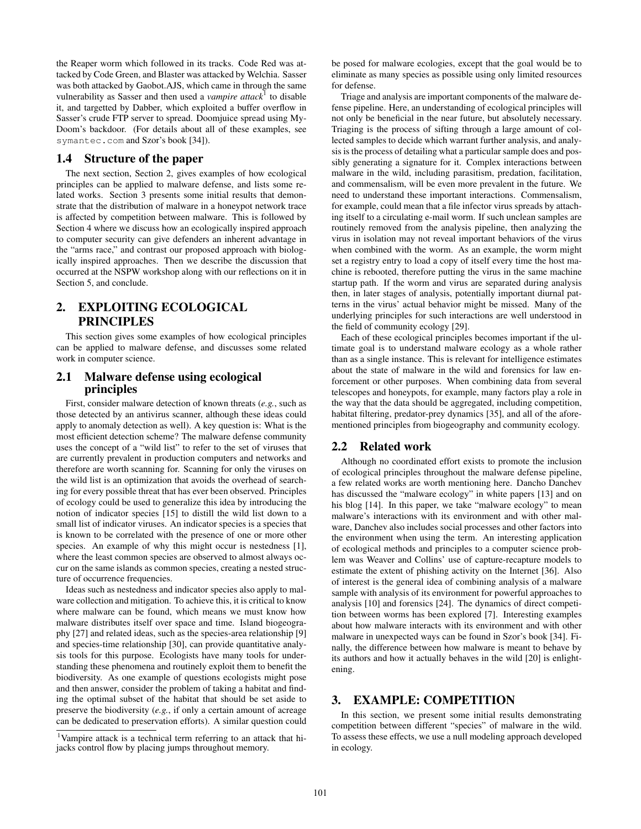the Reaper worm which followed in its tracks. Code Red was attacked by Code Green, and Blaster was attacked by Welchia. Sasser was both attacked by Gaobot.AJS, which came in through the same vulnerability as Sasser and then used a *vampire attack*<sup>1</sup> to disable it, and targetted by Dabber, which exploited a buffer overflow in Sasser's crude FTP server to spread. Doomjuice spread using My-Doom's backdoor. (For details about all of these examples, see symantec.com and Szor's book [34]).

#### 1.4 Structure of the paper

The next section, Section 2, gives examples of how ecological principles can be applied to malware defense, and lists some related works. Section 3 presents some initial results that demonstrate that the distribution of malware in a honeypot network trace is affected by competition between malware. This is followed by Section 4 where we discuss how an ecologically inspired approach to computer security can give defenders an inherent advantage in the "arms race," and contrast our proposed approach with biologically inspired approaches. Then we describe the discussion that occurred at the NSPW workshop along with our reflections on it in Section 5, and conclude.

# 2. EXPLOITING ECOLOGICAL PRINCIPLES

This section gives some examples of how ecological principles can be applied to malware defense, and discusses some related work in computer science.

## 2.1 Malware defense using ecological principles

First, consider malware detection of known threats (*e.g.*, such as those detected by an antivirus scanner, although these ideas could apply to anomaly detection as well). A key question is: What is the most efficient detection scheme? The malware defense community uses the concept of a "wild list" to refer to the set of viruses that are currently prevalent in production computers and networks and therefore are worth scanning for. Scanning for only the viruses on the wild list is an optimization that avoids the overhead of searching for every possible threat that has ever been observed. Principles of ecology could be used to generalize this idea by introducing the notion of indicator species [15] to distill the wild list down to a small list of indicator viruses. An indicator species is a species that is known to be correlated with the presence of one or more other species. An example of why this might occur is nestedness [1], where the least common species are observed to almost always occur on the same islands as common species, creating a nested structure of occurrence frequencies.

Ideas such as nestedness and indicator species also apply to malware collection and mitigation. To achieve this, it is critical to know where malware can be found, which means we must know how malware distributes itself over space and time. Island biogeography [27] and related ideas, such as the species-area relationship [9] and species-time relationship [30], can provide quantitative analysis tools for this purpose. Ecologists have many tools for understanding these phenomena and routinely exploit them to benefit the biodiversity. As one example of questions ecologists might pose and then answer, consider the problem of taking a habitat and finding the optimal subset of the habitat that should be set aside to preserve the biodiversity (*e.g.*, if only a certain amount of acreage can be dedicated to preservation efforts). A similar question could

be posed for malware ecologies, except that the goal would be to eliminate as many species as possible using only limited resources for defense.

Triage and analysis are important components of the malware defense pipeline. Here, an understanding of ecological principles will not only be beneficial in the near future, but absolutely necessary. Triaging is the process of sifting through a large amount of collected samples to decide which warrant further analysis, and analysis is the process of detailing what a particular sample does and possibly generating a signature for it. Complex interactions between malware in the wild, including parasitism, predation, facilitation, and commensalism, will be even more prevalent in the future. We need to understand these important interactions. Commensalism, for example, could mean that a file infector virus spreads by attaching itself to a circulating e-mail worm. If such unclean samples are routinely removed from the analysis pipeline, then analyzing the virus in isolation may not reveal important behaviors of the virus when combined with the worm. As an example, the worm might set a registry entry to load a copy of itself every time the host machine is rebooted, therefore putting the virus in the same machine startup path. If the worm and virus are separated during analysis then, in later stages of analysis, potentially important diurnal patterns in the virus' actual behavior might be missed. Many of the underlying principles for such interactions are well understood in the field of community ecology [29].

Each of these ecological principles becomes important if the ultimate goal is to understand malware ecology as a whole rather than as a single instance. This is relevant for intelligence estimates about the state of malware in the wild and forensics for law enforcement or other purposes. When combining data from several telescopes and honeypots, for example, many factors play a role in the way that the data should be aggregated, including competition, habitat filtering, predator-prey dynamics [35], and all of the aforementioned principles from biogeography and community ecology.

## 2.2 Related work

Although no coordinated effort exists to promote the inclusion of ecological principles throughout the malware defense pipeline, a few related works are worth mentioning here. Dancho Danchev has discussed the "malware ecology" in white papers [13] and on his blog [14]. In this paper, we take "malware ecology" to mean malware's interactions with its environment and with other malware, Danchev also includes social processes and other factors into the environment when using the term. An interesting application of ecological methods and principles to a computer science problem was Weaver and Collins' use of capture-recapture models to estimate the extent of phishing activity on the Internet [36]. Also of interest is the general idea of combining analysis of a malware sample with analysis of its environment for powerful approaches to analysis [10] and forensics [24]. The dynamics of direct competition between worms has been explored [7]. Interesting examples about how malware interacts with its environment and with other malware in unexpected ways can be found in Szor's book [34]. Finally, the difference between how malware is meant to behave by its authors and how it actually behaves in the wild [20] is enlightening.

## 3. EXAMPLE: COMPETITION

In this section, we present some initial results demonstrating competition between different "species" of malware in the wild. To assess these effects, we use a null modeling approach developed in ecology.

<sup>1</sup>Vampire attack is a technical term referring to an attack that hijacks control flow by placing jumps throughout memory.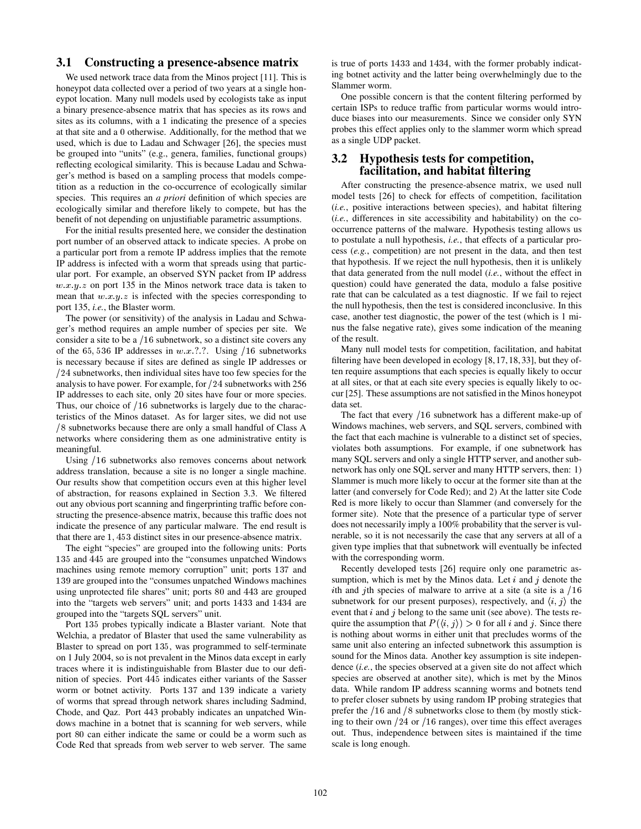#### 3.1 Constructing a presence-absence matrix

We used network trace data from the Minos project [11]. This is honeypot data collected over a period of two years at a single honeypot location. Many null models used by ecologists take as input a binary presence-absence matrix that has species as its rows and sites as its columns, with a 1 indicating the presence of a species at that site and a 0 otherwise. Additionally, for the method that we used, which is due to Ladau and Schwager [26], the species must be grouped into "units" (e.g., genera, families, functional groups) reflecting ecological similarity. This is because Ladau and Schwager's method is based on a sampling process that models competition as a reduction in the co-occurrence of ecologically similar species. This requires an *a priori* definition of which species are ecologically similar and therefore likely to compete, but has the benefit of not depending on unjustifiable parametric assumptions.

For the initial results presented here, we consider the destination port number of an observed attack to indicate species. A probe on a particular port from a remote IP address implies that the remote IP address is infected with a worm that spreads using that particular port. For example, an observed SYN packet from IP address  $w.x.y.z$  on port 135 in the Minos network trace data is taken to mean that  $w.x.y.z$  is infected with the species corresponding to port 135, *i.e.*, the Blaster worm.

The power (or sensitivity) of the analysis in Ladau and Schwager's method requires an ample number of species per site. We consider a site to be a  $/16$  subnetwork, so a distinct site covers any of the 65,536 IP addresses in  $w.x$  ?:?. Using /16 subnetworks is necessary because if sites are defined as single IP addresses or  $/24$  subnetworks, then individual sites have too few species for the analysis to have power. For example, for  $/24$  subnetworks with 256 IP addresses to each site, only 20 sites have four or more species. Thus, our choice of  $/16$  subnetworks is largely due to the characteristics of the Minos dataset. As for larger sites, we did not use  $/8$  subnetworks because there are only a small handful of Class A networks where considering them as one administrative entity is meaningful.

Using /16 subnetworks also removes concerns about network address translation, because a site is no longer a single machine. Our results show that competition occurs even at this higher level of abstraction, for reasons explained in Section 3.3. We filtered out any obvious port scanning and fingerprinting traffic before constructing the presence-absence matrix, because this traffic does not indicate the presence of any particular malware. The end result is that there are 1; 453 distinct sites in our presence-absence matrix.

The eight "species" are grouped into the following units: Ports 135 and 445 are grouped into the "consumes unpatched Windows machines using remote memory corruption" unit; ports 137 and 139 are grouped into the "consumes unpatched Windows machines using unprotected file shares" unit; ports 80 and 443 are grouped into the "targets web servers" unit; and ports 1433 and 1434 are grouped into the "targets SQL servers" unit.

Port 135 probes typically indicate a Blaster variant. Note that Welchia, a predator of Blaster that used the same vulnerability as Blaster to spread on port 135, was programmed to self-terminate on 1 July 2004, so is not prevalent in the Minos data except in early traces where it is indistinguishable from Blaster due to our definition of species. Port 445 indicates either variants of the Sasser worm or botnet activity. Ports 137 and 139 indicate a variety of worms that spread through network shares including Sadmind, Chode, and Qaz. Port 443 probably indicates an unpatched Windows machine in a botnet that is scanning for web servers, while port 80 can either indicate the same or could be a worm such as Code Red that spreads from web server to web server. The same is true of ports 1433 and 1434, with the former probably indicating botnet activity and the latter being overwhelmingly due to the Slammer worm.

One possible concern is that the content filtering performed by certain ISPs to reduce traffic from particular worms would introduce biases into our measurements. Since we consider only SYN probes this effect applies only to the slammer worm which spread as a single UDP packet.

## 3.2 Hypothesis tests for competition, facilitation, and habitat filtering

After constructing the presence-absence matrix, we used null model tests [26] to check for effects of competition, facilitation (*i.e.*, positive interactions between species), and habitat filtering (*i.e.*, differences in site accessibility and habitability) on the cooccurrence patterns of the malware. Hypothesis testing allows us to postulate a null hypothesis, *i.e.*, that effects of a particular process (*e.g.*, competition) are not present in the data, and then test that hypothesis. If we reject the null hypothesis, then it is unlikely that data generated from the null model (*i.e.*, without the effect in question) could have generated the data, modulo a false positive rate that can be calculated as a test diagnostic. If we fail to reject the null hypothesis, then the test is considered inconclusive. In this case, another test diagnostic, the power of the test (which is 1 minus the false negative rate), gives some indication of the meaning of the result.

Many null model tests for competition, facilitation, and habitat filtering have been developed in ecology [8, 17, 18, 33], but they often require assumptions that each species is equally likely to occur at all sites, or that at each site every species is equally likely to occur [25]. These assumptions are not satisfied in the Minos honeypot data set.

The fact that every  $/16$  subnetwork has a different make-up of Windows machines, web servers, and SQL servers, combined with the fact that each machine is vulnerable to a distinct set of species, violates both assumptions. For example, if one subnetwork has many SQL servers and only a single HTTP server, and another subnetwork has only one SQL server and many HTTP servers, then: 1) Slammer is much more likely to occur at the former site than at the latter (and conversely for Code Red); and 2) At the latter site Code Red is more likely to occur than Slammer (and conversely for the former site). Note that the presence of a particular type of server does not necessarily imply a 100% probability that the server is vulnerable, so it is not necessarily the case that any servers at all of a given type implies that that subnetwork will eventually be infected with the corresponding worm.

Recently developed tests [26] require only one parametric assumption, which is met by the Minos data. Let  $i$  and  $j$  denote the ith and jth species of malware to arrive at a site (a site is a  $/16$ subnetwork for our present purposes), respectively, and  $\langle i, j \rangle$  the event that  $i$  and  $j$  belong to the same unit (see above). The tests require the assumption that  $P(\langle i, j \rangle) > 0$  for all i and j. Since there is nothing about worms in either unit that precludes worms of the same unit also entering an infected subnetwork this assumption is sound for the Minos data. Another key assumption is site independence (*i.e.*, the species observed at a given site do not affect which species are observed at another site), which is met by the Minos data. While random IP address scanning worms and botnets tend to prefer closer subnets by using random IP probing strategies that prefer the  $/16$  and  $/8$  subnetworks close to them (by mostly sticking to their own  $/24$  or  $/16$  ranges), over time this effect averages out. Thus, independence between sites is maintained if the time scale is long enough.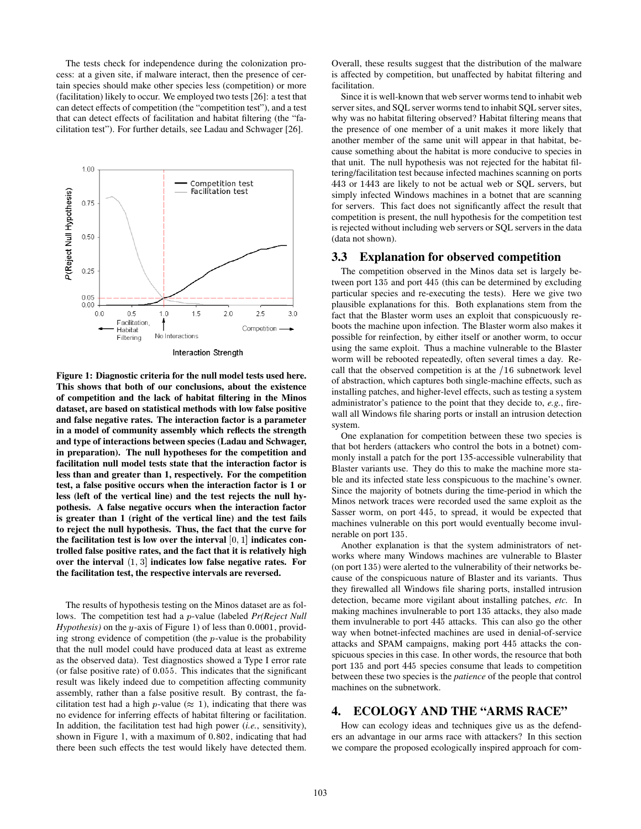The tests check for independence during the colonization process: at a given site, if malware interact, then the presence of certain species should make other species less (competition) or more (facilitation) likely to occur. We employed two tests [26]: a test that can detect effects of competition (the "competition test"), and a test that can detect effects of facilitation and habitat filtering (the "facilitation test"). For further details, see Ladau and Schwager [26].



Figure 1: Diagnostic criteria for the null model tests used here. This shows that both of our conclusions, about the existence of competition and the lack of habitat filtering in the Minos dataset, are based on statistical methods with low false positive and false negative rates. The interaction factor is a parameter in a model of community assembly which reflects the strength and type of interactions between species (Ladau and Schwager, in preparation). The null hypotheses for the competition and facilitation null model tests state that the interaction factor is less than and greater than 1, respectively. For the competition test, a false positive occurs when the interaction factor is 1 or less (left of the vertical line) and the test rejects the null hypothesis. A false negative occurs when the interaction factor is greater than 1 (right of the vertical line) and the test fails to reject the null hypothesis. Thus, the fact that the curve for the facilitation test is low over the interval  $[0, 1]$  indicates controlled false positive rates, and the fact that it is relatively high over the interval (1; 3] indicates low false negative rates. For the facilitation test, the respective intervals are reversed.

The results of hypothesis testing on the Minos dataset are as follows. The competition test had a p-value (labeled *Pr(Reject Null Hypothesis*) on the y-axis of Figure 1) of less than 0.0001, providing strong evidence of competition (the  $p$ -value is the probability that the null model could have produced data at least as extreme as the observed data). Test diagnostics showed a Type I error rate (or false positive rate) of 0:055. This indicates that the significant result was likely indeed due to competition affecting community assembly, rather than a false positive result. By contrast, the facilitation test had a high p-value ( $\approx$  1), indicating that there was no evidence for inferring effects of habitat filtering or facilitation. In addition, the facilitation test had high power (*i.e.*, sensitivity), shown in Figure 1, with a maximum of 0:802, indicating that had there been such effects the test would likely have detected them. Overall, these results suggest that the distribution of the malware is affected by competition, but unaffected by habitat filtering and facilitation.

Since it is well-known that web server worms tend to inhabit web server sites, and SQL server worms tend to inhabit SQL server sites, why was no habitat filtering observed? Habitat filtering means that the presence of one member of a unit makes it more likely that another member of the same unit will appear in that habitat, because something about the habitat is more conducive to species in that unit. The null hypothesis was not rejected for the habitat filtering/facilitation test because infected machines scanning on ports 443 or 1443 are likely to not be actual web or SQL servers, but simply infected Windows machines in a botnet that are scanning for servers. This fact does not significantly affect the result that competition is present, the null hypothesis for the competition test is rejected without including web servers or SQL servers in the data (data not shown).

#### 3.3 Explanation for observed competition

The competition observed in the Minos data set is largely between port 135 and port 445 (this can be determined by excluding particular species and re-executing the tests). Here we give two plausible explanations for this. Both explanations stem from the fact that the Blaster worm uses an exploit that conspicuously reboots the machine upon infection. The Blaster worm also makes it possible for reinfection, by either itself or another worm, to occur using the same exploit. Thus a machine vulnerable to the Blaster worm will be rebooted repeatedly, often several times a day. Recall that the observed competition is at the  $/16$  subnetwork level of abstraction, which captures both single-machine effects, such as installing patches, and higher-level effects, such as testing a system administrator's patience to the point that they decide to, *e.g.*, firewall all Windows file sharing ports or install an intrusion detection system.

One explanation for competition between these two species is that bot herders (attackers who control the bots in a botnet) commonly install a patch for the port 135-accessible vulnerability that Blaster variants use. They do this to make the machine more stable and its infected state less conspicuous to the machine's owner. Since the majority of botnets during the time-period in which the Minos network traces were recorded used the same exploit as the Sasser worm, on port 445, to spread, it would be expected that machines vulnerable on this port would eventually become invulnerable on port 135.

Another explanation is that the system administrators of networks where many Windows machines are vulnerable to Blaster (on port 135) were alerted to the vulnerability of their networks because of the conspicuous nature of Blaster and its variants. Thus they firewalled all Windows file sharing ports, installed intrusion detection, became more vigilant about installing patches, *etc.* In making machines invulnerable to port 135 attacks, they also made them invulnerable to port 445 attacks. This can also go the other way when botnet-infected machines are used in denial-of-service attacks and SPAM campaigns, making port 445 attacks the conspicuous species in this case. In other words, the resource that both port 135 and port 445 species consume that leads to competition between these two species is the *patience* of the people that control machines on the subnetwork.

## 4. ECOLOGY AND THE "ARMS RACE"

How can ecology ideas and techniques give us as the defenders an advantage in our arms race with attackers? In this section we compare the proposed ecologically inspired approach for com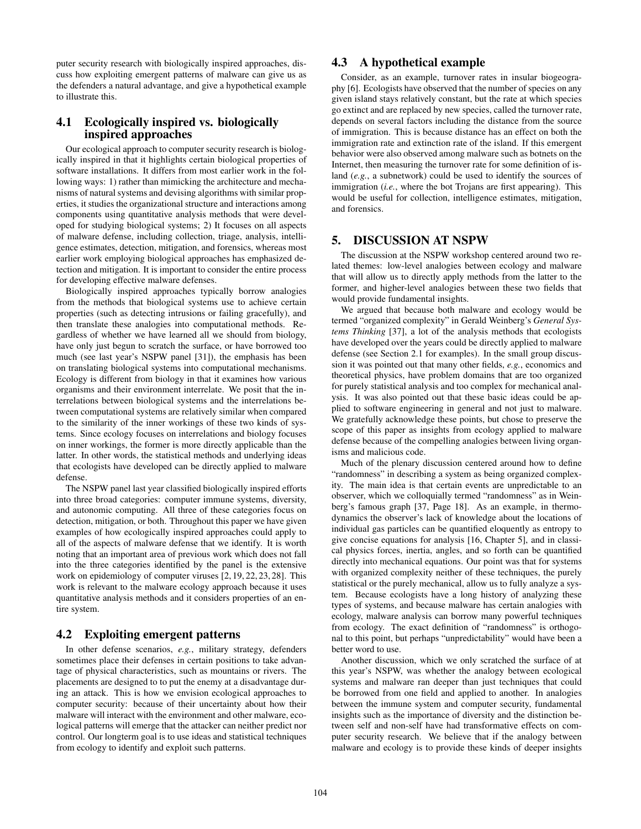puter security research with biologically inspired approaches, discuss how exploiting emergent patterns of malware can give us as the defenders a natural advantage, and give a hypothetical example to illustrate this.

## 4.1 Ecologically inspired vs. biologically inspired approaches

Our ecological approach to computer security research is biologically inspired in that it highlights certain biological properties of software installations. It differs from most earlier work in the following ways: 1) rather than mimicking the architecture and mechanisms of natural systems and devising algorithms with similar properties, it studies the organizational structure and interactions among components using quantitative analysis methods that were developed for studying biological systems; 2) It focuses on all aspects of malware defense, including collection, triage, analysis, intelligence estimates, detection, mitigation, and forensics, whereas most earlier work employing biological approaches has emphasized detection and mitigation. It is important to consider the entire process for developing effective malware defenses.

Biologically inspired approaches typically borrow analogies from the methods that biological systems use to achieve certain properties (such as detecting intrusions or failing gracefully), and then translate these analogies into computational methods. Regardless of whether we have learned all we should from biology, have only just begun to scratch the surface, or have borrowed too much (see last year's NSPW panel [31]), the emphasis has been on translating biological systems into computational mechanisms. Ecology is different from biology in that it examines how various organisms and their environment interrelate. We posit that the interrelations between biological systems and the interrelations between computational systems are relatively similar when compared to the similarity of the inner workings of these two kinds of systems. Since ecology focuses on interrelations and biology focuses on inner workings, the former is more directly applicable than the latter. In other words, the statistical methods and underlying ideas that ecologists have developed can be directly applied to malware defense.

The NSPW panel last year classified biologically inspired efforts into three broad categories: computer immune systems, diversity, and autonomic computing. All three of these categories focus on detection, mitigation, or both. Throughout this paper we have given examples of how ecologically inspired approaches could apply to all of the aspects of malware defense that we identify. It is worth noting that an important area of previous work which does not fall into the three categories identified by the panel is the extensive work on epidemiology of computer viruses [2, 19, 22, 23, 28]. This work is relevant to the malware ecology approach because it uses quantitative analysis methods and it considers properties of an entire system.

#### 4.2 Exploiting emergent patterns

In other defense scenarios, *e.g.*, military strategy, defenders sometimes place their defenses in certain positions to take advantage of physical characteristics, such as mountains or rivers. The placements are designed to to put the enemy at a disadvantage during an attack. This is how we envision ecological approaches to computer security: because of their uncertainty about how their malware will interact with the environment and other malware, ecological patterns will emerge that the attacker can neither predict nor control. Our longterm goal is to use ideas and statistical techniques from ecology to identify and exploit such patterns.

## 4.3 A hypothetical example

Consider, as an example, turnover rates in insular biogeography [6]. Ecologists have observed that the number of species on any given island stays relatively constant, but the rate at which species go extinct and are replaced by new species, called the turnover rate, depends on several factors including the distance from the source of immigration. This is because distance has an effect on both the immigration rate and extinction rate of the island. If this emergent behavior were also observed among malware such as botnets on the Internet, then measuring the turnover rate for some definition of island (*e.g.*, a subnetwork) could be used to identify the sources of immigration (*i.e.*, where the bot Trojans are first appearing). This would be useful for collection, intelligence estimates, mitigation, and forensics.

#### 5. DISCUSSION AT NSPW

The discussion at the NSPW workshop centered around two related themes: low-level analogies between ecology and malware that will allow us to directly apply methods from the latter to the former, and higher-level analogies between these two fields that would provide fundamental insights.

We argued that because both malware and ecology would be termed "organized complexity" in Gerald Weinberg's *General Systems Thinking* [37], a lot of the analysis methods that ecologists have developed over the years could be directly applied to malware defense (see Section 2.1 for examples). In the small group discussion it was pointed out that many other fields, *e.g.*, economics and theoretical physics, have problem domains that are too organized for purely statistical analysis and too complex for mechanical analysis. It was also pointed out that these basic ideas could be applied to software engineering in general and not just to malware. We gratefully acknowledge these points, but chose to preserve the scope of this paper as insights from ecology applied to malware defense because of the compelling analogies between living organisms and malicious code.

Much of the plenary discussion centered around how to define "randomness" in describing a system as being organized complexity. The main idea is that certain events are unpredictable to an observer, which we colloquially termed "randomness" as in Weinberg's famous graph [37, Page 18]. As an example, in thermodynamics the observer's lack of knowledge about the locations of individual gas particles can be quantified eloquently as entropy to give concise equations for analysis [16, Chapter 5], and in classical physics forces, inertia, angles, and so forth can be quantified directly into mechanical equations. Our point was that for systems with organized complexity neither of these techniques, the purely statistical or the purely mechanical, allow us to fully analyze a system. Because ecologists have a long history of analyzing these types of systems, and because malware has certain analogies with ecology, malware analysis can borrow many powerful techniques from ecology. The exact definition of "randomness" is orthogonal to this point, but perhaps "unpredictability" would have been a better word to use.

Another discussion, which we only scratched the surface of at this year's NSPW, was whether the analogy between ecological systems and malware ran deeper than just techniques that could be borrowed from one field and applied to another. In analogies between the immune system and computer security, fundamental insights such as the importance of diversity and the distinction between self and non-self have had transformative effects on computer security research. We believe that if the analogy between malware and ecology is to provide these kinds of deeper insights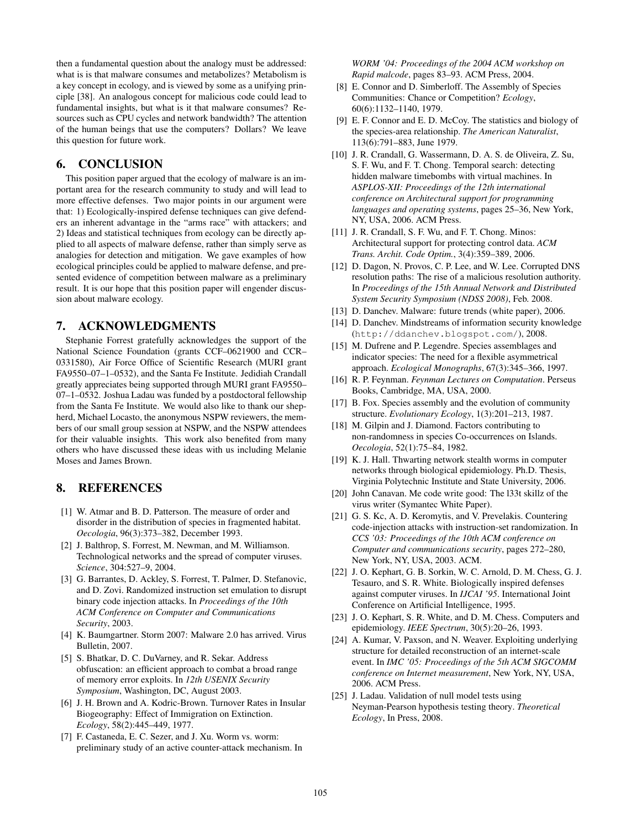then a fundamental question about the analogy must be addressed: what is is that malware consumes and metabolizes? Metabolism is a key concept in ecology, and is viewed by some as a unifying principle [38]. An analogous concept for malicious code could lead to fundamental insights, but what is it that malware consumes? Resources such as CPU cycles and network bandwidth? The attention of the human beings that use the computers? Dollars? We leave this question for future work.

## 6. CONCLUSION

This position paper argued that the ecology of malware is an important area for the research community to study and will lead to more effective defenses. Two major points in our argument were that: 1) Ecologically-inspired defense techniques can give defenders an inherent advantage in the "arms race" with attackers; and 2) Ideas and statistical techniques from ecology can be directly applied to all aspects of malware defense, rather than simply serve as analogies for detection and mitigation. We gave examples of how ecological principles could be applied to malware defense, and presented evidence of competition between malware as a preliminary result. It is our hope that this position paper will engender discussion about malware ecology.

## 7. ACKNOWLEDGMENTS

Stephanie Forrest gratefully acknowledges the support of the National Science Foundation (grants CCF–0621900 and CCR– 0331580), Air Force Office of Scientific Research (MURI grant FA9550–07–1–0532), and the Santa Fe Institute. Jedidiah Crandall greatly appreciates being supported through MURI grant FA9550– 07–1–0532. Joshua Ladau was funded by a postdoctoral fellowship from the Santa Fe Institute. We would also like to thank our shepherd, Michael Locasto, the anonymous NSPW reviewers, the members of our small group session at NSPW, and the NSPW attendees for their valuable insights. This work also benefited from many others who have discussed these ideas with us including Melanie Moses and James Brown.

## 8. REFERENCES

- [1] W. Atmar and B. D. Patterson. The measure of order and disorder in the distribution of species in fragmented habitat. *Oecologia*, 96(3):373–382, December 1993.
- [2] J. Balthrop, S. Forrest, M. Newman, and M. Williamson. Technological networks and the spread of computer viruses. *Science*, 304:527–9, 2004.
- [3] G. Barrantes, D. Ackley, S. Forrest, T. Palmer, D. Stefanovic, and D. Zovi. Randomized instruction set emulation to disrupt binary code injection attacks. In *Proceedings of the 10th ACM Conference on Computer and Communications Security*, 2003.
- [4] K. Baumgartner. Storm 2007: Malware 2.0 has arrived. Virus Bulletin, 2007.
- [5] S. Bhatkar, D. C. DuVarney, and R. Sekar. Address obfuscation: an efficient approach to combat a broad range of memory error exploits. In *12th USENIX Security Symposium*, Washington, DC, August 2003.
- [6] J. H. Brown and A. Kodric-Brown. Turnover Rates in Insular Biogeography: Effect of Immigration on Extinction. *Ecology*, 58(2):445–449, 1977.
- [7] F. Castaneda, E. C. Sezer, and J. Xu. Worm vs. worm: preliminary study of an active counter-attack mechanism. In

*WORM '04: Proceedings of the 2004 ACM workshop on Rapid malcode*, pages 83–93. ACM Press, 2004.

- [8] E. Connor and D. Simberloff. The Assembly of Species Communities: Chance or Competition? *Ecology*, 60(6):1132–1140, 1979.
- [9] E. F. Connor and E. D. McCoy. The statistics and biology of the species-area relationship. *The American Naturalist*, 113(6):791–883, June 1979.
- [10] J. R. Crandall, G. Wassermann, D. A. S. de Oliveira, Z. Su, S. F. Wu, and F. T. Chong. Temporal search: detecting hidden malware timebombs with virtual machines. In *ASPLOS-XII: Proceedings of the 12th international conference on Architectural support for programming languages and operating systems*, pages 25–36, New York, NY, USA, 2006. ACM Press.
- [11] J. R. Crandall, S. F. Wu, and F. T. Chong. Minos: Architectural support for protecting control data. *ACM Trans. Archit. Code Optim.*, 3(4):359–389, 2006.
- [12] D. Dagon, N. Provos, C. P. Lee, and W. Lee. Corrupted DNS resolution paths: The rise of a malicious resolution authority. In *Proceedings of the 15th Annual Network and Distributed System Security Symposium (NDSS 2008)*, Feb. 2008.
- [13] D. Danchev. Malware: future trends (white paper), 2006.
- [14] D. Danchev. Mindstreams of information security knowledge (http://ddanchev.blogspot.com/), 2008.
- [15] M. Dufrene and P. Legendre. Species assemblages and indicator species: The need for a flexible asymmetrical approach. *Ecological Monographs*, 67(3):345–366, 1997.
- [16] R. P. Feynman. *Feynman Lectures on Computation*. Perseus Books, Cambridge, MA, USA, 2000.
- [17] B. Fox. Species assembly and the evolution of community structure. *Evolutionary Ecology*, 1(3):201–213, 1987.
- [18] M. Gilpin and J. Diamond. Factors contributing to non-randomness in species Co-occurrences on Islands. *Oecologia*, 52(1):75–84, 1982.
- [19] K. J. Hall. Thwarting network stealth worms in computer networks through biological epidemiology. Ph.D. Thesis, Virginia Polytechnic Institute and State University, 2006.
- [20] John Canavan. Me code write good: The l33t skillz of the virus writer (Symantec White Paper).
- [21] G. S. Kc, A. D. Keromytis, and V. Prevelakis. Countering code-injection attacks with instruction-set randomization. In *CCS '03: Proceedings of the 10th ACM conference on Computer and communications security*, pages 272–280, New York, NY, USA, 2003. ACM.
- [22] J. O. Kephart, G. B. Sorkin, W. C. Arnold, D. M. Chess, G. J. Tesauro, and S. R. White. Biologically inspired defenses against computer viruses. In *IJCAI '95*. International Joint Conference on Artificial Intelligence, 1995.
- [23] J. O. Kephart, S. R. White, and D. M. Chess. Computers and epidemiology. *IEEE Spectrum*, 30(5):20–26, 1993.
- [24] A. Kumar, V. Paxson, and N. Weaver. Exploiting underlying structure for detailed reconstruction of an internet-scale event. In *IMC '05: Proceedings of the 5th ACM SIGCOMM conference on Internet measurement*, New York, NY, USA, 2006. ACM Press.
- [25] J. Ladau. Validation of null model tests using Neyman-Pearson hypothesis testing theory. *Theoretical Ecology*, In Press, 2008.